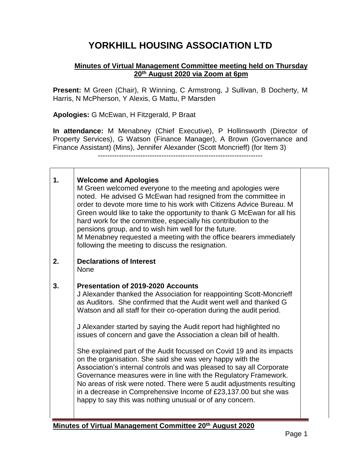## **YORKHILL HOUSING ASSOCIATION LTD**

## **Minutes of Virtual Management Committee meeting held on Thursday 20th August 2020 via Zoom at 6pm**

**Present:** M Green (Chair), R Winning, C Armstrong, J Sullivan, B Docherty, M Harris, N McPherson, Y Alexis, G Mattu, P Marsden

**Apologies:** G McEwan, H Fitzgerald, P Braat

Г

 $\top$ 

**In attendance:** M Menabney (Chief Executive), P Hollinsworth (Director of Property Services), G Watson (Finance Manager), A Brown (Governance and Finance Assistant) (Mins), Jennifer Alexander (Scott Moncrieff) (for Item 3)

----------------------------------------------------------------------

| 1. | <b>Welcome and Apologies</b><br>M Green welcomed everyone to the meeting and apologies were<br>noted. He advised G McEwan had resigned from the committee in<br>order to devote more time to his work with Citizens Advice Bureau. M<br>Green would like to take the opportunity to thank G McEwan for all his<br>hard work for the committee, especially his contribution to the<br>pensions group, and to wish him well for the future.<br>M Menabney requested a meeting with the office bearers immediately<br>following the meeting to discuss the resignation.                                                                                                                                                                                                                                                                                                                              |  |
|----|---------------------------------------------------------------------------------------------------------------------------------------------------------------------------------------------------------------------------------------------------------------------------------------------------------------------------------------------------------------------------------------------------------------------------------------------------------------------------------------------------------------------------------------------------------------------------------------------------------------------------------------------------------------------------------------------------------------------------------------------------------------------------------------------------------------------------------------------------------------------------------------------------|--|
| 2. | <b>Declarations of Interest</b><br><b>None</b>                                                                                                                                                                                                                                                                                                                                                                                                                                                                                                                                                                                                                                                                                                                                                                                                                                                    |  |
| 3. | <b>Presentation of 2019-2020 Accounts</b><br>J Alexander thanked the Association for reappointing Scott-Moncrieff<br>as Auditors. She confirmed that the Audit went well and thanked G<br>Watson and all staff for their co-operation during the audit period.<br>J Alexander started by saying the Audit report had highlighted no<br>issues of concern and gave the Association a clean bill of health.<br>She explained part of the Audit focussed on Covid 19 and its impacts<br>on the organisation. She said she was very happy with the<br>Association's internal controls and was pleased to say all Corporate<br>Governance measures were in line with the Regulatory Framework.<br>No areas of risk were noted. There were 5 audit adjustments resulting<br>in a decrease in Comprehensive Income of £23,137.00 but she was<br>happy to say this was nothing unusual or of any concern. |  |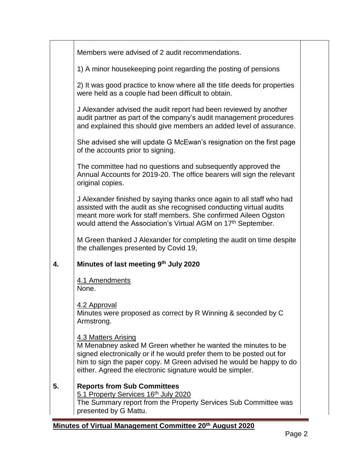| Members were advised of 2 audit recommendations.                                                                                                                                                                                                                                                 |  |
|--------------------------------------------------------------------------------------------------------------------------------------------------------------------------------------------------------------------------------------------------------------------------------------------------|--|
| 1) A minor housekeeping point regarding the posting of pensions                                                                                                                                                                                                                                  |  |
| 2) It was good practice to know where all the title deeds for properties<br>were held as a couple had been difficult to obtain.                                                                                                                                                                  |  |
| J Alexander advised the audit report had been reviewed by another<br>audit partner as part of the company's audit management procedures<br>and explained this should give members an added level of assurance.                                                                                   |  |
| She advised she will update G McEwan's resignation on the first page<br>of the accounts prior to signing.                                                                                                                                                                                        |  |
| The committee had no questions and subsequently approved the<br>Annual Accounts for 2019-20. The office bearers will sign the relevant<br>original copies.                                                                                                                                       |  |
| J Alexander finished by saying thanks once again to all staff who had<br>assisted with the audit as she recognised conducting virtual audits<br>meant more work for staff members. She confirmed Aileen Ogston<br>would attend the Association's Virtual AGM on 17 <sup>th</sup> September.      |  |
| M Green thanked J Alexander for completing the audit on time despite<br>the challenges presented by Covid 19,                                                                                                                                                                                    |  |
| Minutes of last meeting 9th July 2020                                                                                                                                                                                                                                                            |  |
| 4.1 Amendments<br>None.                                                                                                                                                                                                                                                                          |  |
| 4.2 Approval<br>Minutes were proposed as correct by R Winning & seconded by C<br>Armstrong.                                                                                                                                                                                                      |  |
| 4.3 Matters Arising<br>M Menabney asked M Green whether he wanted the minutes to be<br>signed electronically or if he would prefer them to be posted out for<br>him to sign the paper copy. M Green advised he would be happy to do<br>either. Agreed the electronic signature would be simpler. |  |
| <b>Reports from Sub Committees</b><br>5.1 Property Services 16th July 2020<br>The Summary report from the Property Services Sub Committee was<br>presented by G Mattu.                                                                                                                           |  |
|                                                                                                                                                                                                                                                                                                  |  |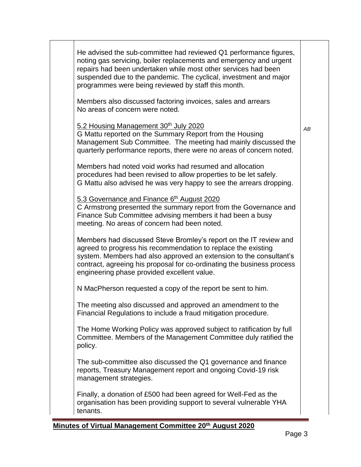| He advised the sub-committee had reviewed Q1 performance figures,<br>noting gas servicing, boiler replacements and emergency and urgent<br>repairs had been undertaken while most other services had been<br>suspended due to the pandemic. The cyclical, investment and major<br>programmes were being reviewed by staff this month. |    |
|---------------------------------------------------------------------------------------------------------------------------------------------------------------------------------------------------------------------------------------------------------------------------------------------------------------------------------------|----|
| Members also discussed factoring invoices, sales and arrears<br>No areas of concern were noted.                                                                                                                                                                                                                                       |    |
| 5.2 Housing Management 30th July 2020<br>G Mattu reported on the Summary Report from the Housing<br>Management Sub Committee. The meeting had mainly discussed the<br>quarterly performance reports, there were no areas of concern noted.                                                                                            | AB |
| Members had noted void works had resumed and allocation<br>procedures had been revised to allow properties to be let safely.<br>G Mattu also advised he was very happy to see the arrears dropping.                                                                                                                                   |    |
| 5.3 Governance and Finance 6th August 2020<br>C Armstrong presented the summary report from the Governance and<br>Finance Sub Committee advising members it had been a busy<br>meeting. No areas of concern had been noted.                                                                                                           |    |
| Members had discussed Steve Bromley's report on the IT review and<br>agreed to progress his recommendation to replace the existing<br>system. Members had also approved an extension to the consultant's<br>contract, agreeing his proposal for co-ordinating the business process<br>engineering phase provided excellent value.     |    |
| N MacPherson requested a copy of the report be sent to him.                                                                                                                                                                                                                                                                           |    |
| The meeting also discussed and approved an amendment to the<br>Financial Regulations to include a fraud mitigation procedure.                                                                                                                                                                                                         |    |
| The Home Working Policy was approved subject to ratification by full<br>Committee. Members of the Management Committee duly ratified the<br>policy.                                                                                                                                                                                   |    |
| The sub-committee also discussed the Q1 governance and finance<br>reports, Treasury Management report and ongoing Covid-19 risk<br>management strategies.                                                                                                                                                                             |    |
| Finally, a donation of £500 had been agreed for Well-Fed as the<br>organisation has been providing support to several vulnerable YHA<br>tenants.                                                                                                                                                                                      |    |
|                                                                                                                                                                                                                                                                                                                                       |    |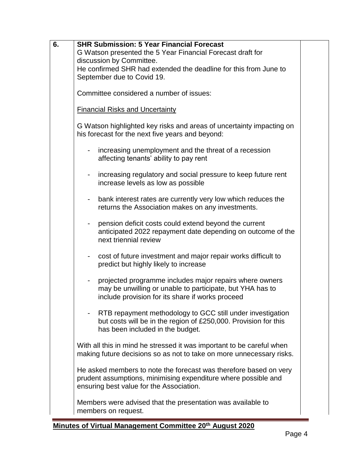| 6. | <b>SHR Submission: 5 Year Financial Forecast</b><br>G Watson presented the 5 Year Financial Forecast draft for<br>discussion by Committee.<br>He confirmed SHR had extended the deadline for this from June to<br>September due to Covid 19. |  |
|----|----------------------------------------------------------------------------------------------------------------------------------------------------------------------------------------------------------------------------------------------|--|
|    | Committee considered a number of issues:                                                                                                                                                                                                     |  |
|    | <b>Financial Risks and Uncertainty</b>                                                                                                                                                                                                       |  |
|    | G Watson highlighted key risks and areas of uncertainty impacting on<br>his forecast for the next five years and beyond:                                                                                                                     |  |
|    | increasing unemployment and the threat of a recession<br>affecting tenants' ability to pay rent                                                                                                                                              |  |
|    | increasing regulatory and social pressure to keep future rent<br>-<br>increase levels as low as possible                                                                                                                                     |  |
|    | bank interest rates are currently very low which reduces the<br>۰<br>returns the Association makes on any investments.                                                                                                                       |  |
|    | pension deficit costs could extend beyond the current<br>anticipated 2022 repayment date depending on outcome of the<br>next triennial review                                                                                                |  |
|    | cost of future investment and major repair works difficult to<br>$\blacksquare$<br>predict but highly likely to increase                                                                                                                     |  |
|    | projected programme includes major repairs where owners<br>may be unwilling or unable to participate, but YHA has to<br>include provision for its share if works proceed                                                                     |  |
|    | RTB repayment methodology to GCC still under investigation<br>but costs will be in the region of £250,000. Provision for this<br>has been included in the budget.                                                                            |  |
|    | With all this in mind he stressed it was important to be careful when<br>making future decisions so as not to take on more unnecessary risks.                                                                                                |  |
|    | He asked members to note the forecast was therefore based on very<br>prudent assumptions, minimising expenditure where possible and<br>ensuring best value for the Association.                                                              |  |
|    | Members were advised that the presentation was available to<br>members on request.                                                                                                                                                           |  |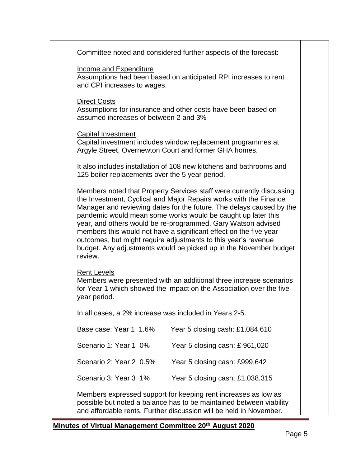| Committee noted and considered further aspects of the forecast:                                                                                                                                                                                                                                                                                                                                                                                                                                                                                                          |  |
|--------------------------------------------------------------------------------------------------------------------------------------------------------------------------------------------------------------------------------------------------------------------------------------------------------------------------------------------------------------------------------------------------------------------------------------------------------------------------------------------------------------------------------------------------------------------------|--|
| <b>Income and Expenditure</b><br>Assumptions had been based on anticipated RPI increases to rent<br>and CPI increases to wages.                                                                                                                                                                                                                                                                                                                                                                                                                                          |  |
| <b>Direct Costs</b><br>Assumptions for insurance and other costs have been based on<br>assumed increases of between 2 and 3%                                                                                                                                                                                                                                                                                                                                                                                                                                             |  |
| Capital Investment<br>Capital investment includes window replacement programmes at<br>Argyle Street, Overnewton Court and former GHA homes.                                                                                                                                                                                                                                                                                                                                                                                                                              |  |
| It also includes installation of 108 new kitchens and bathrooms and<br>125 boiler replacements over the 5 year period.                                                                                                                                                                                                                                                                                                                                                                                                                                                   |  |
| Members noted that Property Services staff were currently discussing<br>the Investment, Cyclical and Major Repairs works with the Finance<br>Manager and reviewing dates for the future. The delays caused by the<br>pandemic would mean some works would be caught up later this<br>year, and others would be re-programmed. Gary Watson advised<br>members this would not have a significant effect on the five year<br>outcomes, but might require adjustments to this year's revenue<br>budget. Any adjustments would be picked up in the November budget<br>review. |  |
| <b>Rent Levels</b><br>Members were presented with an additional three increase scenarios<br>for Year 1 which showed the impact on the Association over the five<br>year period.                                                                                                                                                                                                                                                                                                                                                                                          |  |
| In all cases, a 2% increase was included in Years 2-5.                                                                                                                                                                                                                                                                                                                                                                                                                                                                                                                   |  |
| Base case: Year 1 1.6%<br>Year 5 closing cash: £1,084,610                                                                                                                                                                                                                                                                                                                                                                                                                                                                                                                |  |
| Scenario 1: Year 1 0%<br>Year 5 closing cash: £961,020                                                                                                                                                                                                                                                                                                                                                                                                                                                                                                                   |  |
| Scenario 2: Year 2 0.5%<br>Year 5 closing cash: £999,642                                                                                                                                                                                                                                                                                                                                                                                                                                                                                                                 |  |
| Scenario 3: Year 3 1%<br>Year 5 closing cash: £1,038,315                                                                                                                                                                                                                                                                                                                                                                                                                                                                                                                 |  |
| Members expressed support for keeping rent increases as low as<br>possible but noted a balance has to be maintained between viability<br>and affordable rents. Further discussion will be held in November.                                                                                                                                                                                                                                                                                                                                                              |  |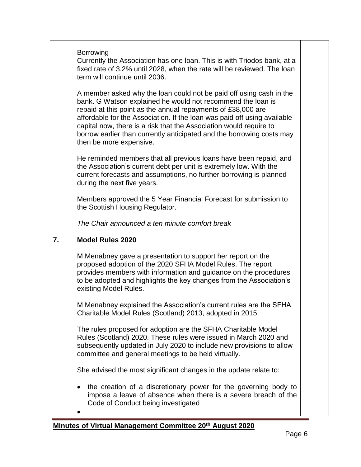|    | <b>Borrowing</b><br>Currently the Association has one Ioan. This is with Triodos bank, at a<br>fixed rate of 3.2% until 2028, when the rate will be reviewed. The loan<br>term will continue until 2036.                                                                                                                                                                                                                                                 |
|----|----------------------------------------------------------------------------------------------------------------------------------------------------------------------------------------------------------------------------------------------------------------------------------------------------------------------------------------------------------------------------------------------------------------------------------------------------------|
|    | A member asked why the loan could not be paid off using cash in the<br>bank. G Watson explained he would not recommend the loan is<br>repaid at this point as the annual repayments of £38,000 are<br>affordable for the Association. If the loan was paid off using available<br>capital now, there is a risk that the Association would require to<br>borrow earlier than currently anticipated and the borrowing costs may<br>then be more expensive. |
|    | He reminded members that all previous loans have been repaid, and<br>the Association's current debt per unit is extremely low. With the<br>current forecasts and assumptions, no further borrowing is planned<br>during the next five years.                                                                                                                                                                                                             |
|    | Members approved the 5 Year Financial Forecast for submission to<br>the Scottish Housing Regulator.                                                                                                                                                                                                                                                                                                                                                      |
|    | The Chair announced a ten minute comfort break                                                                                                                                                                                                                                                                                                                                                                                                           |
| 7. | <b>Model Rules 2020</b>                                                                                                                                                                                                                                                                                                                                                                                                                                  |
|    |                                                                                                                                                                                                                                                                                                                                                                                                                                                          |
|    | M Menabney gave a presentation to support her report on the<br>proposed adoption of the 2020 SFHA Model Rules. The report<br>provides members with information and guidance on the procedures<br>to be adopted and highlights the key changes from the Association's<br>existing Model Rules.                                                                                                                                                            |
|    | M Menabney explained the Association's current rules are the SFHA<br>Charitable Model Rules (Scotland) 2013, adopted in 2015.                                                                                                                                                                                                                                                                                                                            |
|    | The rules proposed for adoption are the SFHA Charitable Model<br>Rules (Scotland) 2020. These rules were issued in March 2020 and<br>subsequently updated in July 2020 to include new provisions to allow<br>committee and general meetings to be held virtually.                                                                                                                                                                                        |
|    | She advised the most significant changes in the update relate to:                                                                                                                                                                                                                                                                                                                                                                                        |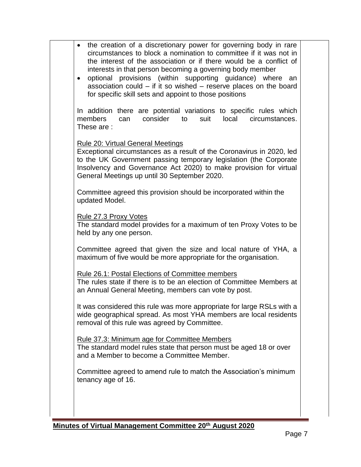| $\bullet$<br>$\bullet$ | the creation of a discretionary power for governing body in rare<br>circumstances to block a nomination to committee if it was not in<br>the interest of the association or if there would be a conflict of<br>interests in that person becoming a governing body member<br>optional provisions (within supporting guidance) where<br>an<br>association could $-$ if it so wished $-$ reserve places on the board<br>for specific skill sets and appoint to those positions |  |
|------------------------|-----------------------------------------------------------------------------------------------------------------------------------------------------------------------------------------------------------------------------------------------------------------------------------------------------------------------------------------------------------------------------------------------------------------------------------------------------------------------------|--|
|                        | In addition there are potential variations to specific rules which<br>can consider<br>members<br>local<br>to<br>suit<br>circumstances.<br>These are:                                                                                                                                                                                                                                                                                                                        |  |
|                        | <b>Rule 20: Virtual General Meetings</b><br>Exceptional circumstances as a result of the Coronavirus in 2020, led<br>to the UK Government passing temporary legislation (the Corporate<br>Insolvency and Governance Act 2020) to make provision for virtual<br>General Meetings up until 30 September 2020.                                                                                                                                                                 |  |
|                        | Committee agreed this provision should be incorporated within the<br>updated Model.                                                                                                                                                                                                                                                                                                                                                                                         |  |
|                        | Rule 27.3 Proxy Votes<br>The standard model provides for a maximum of ten Proxy Votes to be<br>held by any one person.                                                                                                                                                                                                                                                                                                                                                      |  |
|                        | Committee agreed that given the size and local nature of YHA, a<br>maximum of five would be more appropriate for the organisation.                                                                                                                                                                                                                                                                                                                                          |  |
|                        | Rule 26.1: Postal Elections of Committee members<br>The rules state if there is to be an election of Committee Members at<br>an Annual General Meeting, members can vote by post.                                                                                                                                                                                                                                                                                           |  |
|                        | It was considered this rule was more appropriate for large RSLs with a<br>wide geographical spread. As most YHA members are local residents<br>removal of this rule was agreed by Committee.                                                                                                                                                                                                                                                                                |  |
|                        | Rule 37.3: Minimum age for Committee Members<br>The standard model rules state that person must be aged 18 or over<br>and a Member to become a Committee Member.                                                                                                                                                                                                                                                                                                            |  |
|                        | Committee agreed to amend rule to match the Association's minimum<br>tenancy age of 16.                                                                                                                                                                                                                                                                                                                                                                                     |  |
|                        |                                                                                                                                                                                                                                                                                                                                                                                                                                                                             |  |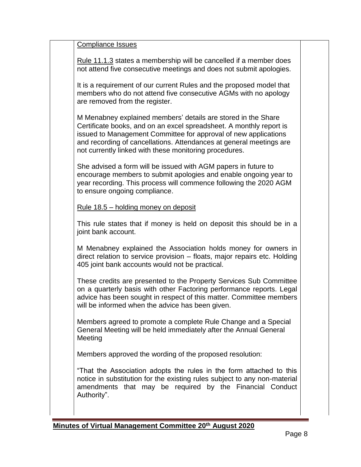Compliance Issues

Rule 11.1.3 states a membership will be cancelled if a member does not attend five consecutive meetings and does not submit apologies.

It is a requirement of our current Rules and the proposed model that members who do not attend five consecutive AGMs with no apology are removed from the register.

M Menabney explained members' details are stored in the Share Certificate books, and on an excel spreadsheet. A monthly report is issued to Management Committee for approval of new applications and recording of cancellations. Attendances at general meetings are not currently linked with these monitoring procedures.

She advised a form will be issued with AGM papers in future to encourage members to submit apologies and enable ongoing year to year recording. This process will commence following the 2020 AGM to ensure ongoing compliance.

Rule 18.5 – holding money on deposit

This rule states that if money is held on deposit this should be in a joint bank account.

M Menabney explained the Association holds money for owners in direct relation to service provision – floats, major repairs etc. Holding 405 joint bank accounts would not be practical.

These credits are presented to the Property Services Sub Committee on a quarterly basis with other Factoring performance reports. Legal advice has been sought in respect of this matter. Committee members will be informed when the advice has been given.

Members agreed to promote a complete Rule Change and a Special General Meeting will be held immediately after the Annual General Meeting

Members approved the wording of the proposed resolution:

"That the Association adopts the rules in the form attached to this notice in substitution for the existing rules subject to any non-material amendments that may be required by the Financial Conduct Authority".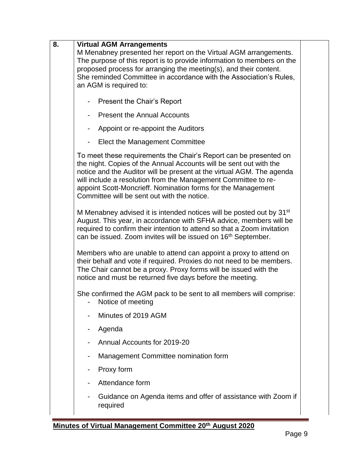| 8. | <b>Virtual AGM Arrangements</b><br>M Menabney presented her report on the Virtual AGM arrangements.<br>The purpose of this report is to provide information to members on the<br>proposed process for arranging the meeting(s), and their content.<br>She reminded Committee in accordance with the Association's Rules,<br>an AGM is required to:                                                |  |
|----|---------------------------------------------------------------------------------------------------------------------------------------------------------------------------------------------------------------------------------------------------------------------------------------------------------------------------------------------------------------------------------------------------|--|
|    | <b>Present the Chair's Report</b>                                                                                                                                                                                                                                                                                                                                                                 |  |
|    | <b>Present the Annual Accounts</b>                                                                                                                                                                                                                                                                                                                                                                |  |
|    | Appoint or re-appoint the Auditors                                                                                                                                                                                                                                                                                                                                                                |  |
|    | Elect the Management Committee<br>-                                                                                                                                                                                                                                                                                                                                                               |  |
|    | To meet these requirements the Chair's Report can be presented on<br>the night. Copies of the Annual Accounts will be sent out with the<br>notice and the Auditor will be present at the virtual AGM. The agenda<br>will include a resolution from the Management Committee to re-<br>appoint Scott-Moncrieff. Nomination forms for the Management<br>Committee will be sent out with the notice. |  |
|    | M Menabney advised it is intended notices will be posted out by 31 <sup>st</sup><br>August. This year, in accordance with SFHA advice, members will be<br>required to confirm their intention to attend so that a Zoom invitation<br>can be issued. Zoom invites will be issued on 16 <sup>th</sup> September.                                                                                    |  |
|    | Members who are unable to attend can appoint a proxy to attend on<br>their behalf and vote if required. Proxies do not need to be members.<br>The Chair cannot be a proxy. Proxy forms will be issued with the<br>notice and must be returned five days before the meeting.                                                                                                                       |  |
|    | She confirmed the AGM pack to be sent to all members will comprise:<br>Notice of meeting                                                                                                                                                                                                                                                                                                          |  |
|    | Minutes of 2019 AGM                                                                                                                                                                                                                                                                                                                                                                               |  |
|    | Agenda                                                                                                                                                                                                                                                                                                                                                                                            |  |
|    | Annual Accounts for 2019-20                                                                                                                                                                                                                                                                                                                                                                       |  |
|    | Management Committee nomination form                                                                                                                                                                                                                                                                                                                                                              |  |
|    | Proxy form<br>۰                                                                                                                                                                                                                                                                                                                                                                                   |  |
|    | Attendance form                                                                                                                                                                                                                                                                                                                                                                                   |  |
|    | Guidance on Agenda items and offer of assistance with Zoom if<br>required                                                                                                                                                                                                                                                                                                                         |  |

J,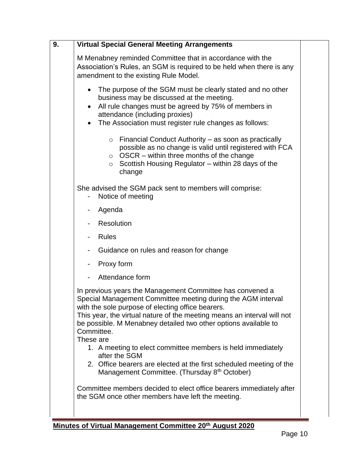| 9. | <b>Virtual Special General Meeting Arrangements</b>                                                                                                                                                                                                                                                                                                     |  |
|----|---------------------------------------------------------------------------------------------------------------------------------------------------------------------------------------------------------------------------------------------------------------------------------------------------------------------------------------------------------|--|
|    | M Menabney reminded Committee that in accordance with the<br>Association's Rules, an SGM is required to be held when there is any<br>amendment to the existing Rule Model.                                                                                                                                                                              |  |
|    | The purpose of the SGM must be clearly stated and no other<br>business may be discussed at the meeting.<br>All rule changes must be agreed by 75% of members in<br>attendance (including proxies)<br>The Association must register rule changes as follows:                                                                                             |  |
|    | Financial Conduct Authority – as soon as practically<br>$\circ$<br>possible as no change is valid until registered with FCA<br>OSCR - within three months of the change<br>$\circ$<br>Scottish Housing Regulator – within 28 days of the<br>$\circ$<br>change                                                                                           |  |
|    | She advised the SGM pack sent to members will comprise:<br>Notice of meeting                                                                                                                                                                                                                                                                            |  |
|    | Agenda                                                                                                                                                                                                                                                                                                                                                  |  |
|    | <b>Resolution</b><br>-                                                                                                                                                                                                                                                                                                                                  |  |
|    | <b>Rules</b>                                                                                                                                                                                                                                                                                                                                            |  |
|    | Guidance on rules and reason for change                                                                                                                                                                                                                                                                                                                 |  |
|    | Proxy form                                                                                                                                                                                                                                                                                                                                              |  |
|    | Attendance form                                                                                                                                                                                                                                                                                                                                         |  |
|    | In previous years the Management Committee has convened a<br>Special Management Committee meeting during the AGM interval<br>with the sole purpose of electing office bearers.<br>This year, the virtual nature of the meeting means an interval will not<br>be possible. M Menabney detailed two other options available to<br>Committee.<br>These are |  |
|    | 1. A meeting to elect committee members is held immediately<br>after the SGM                                                                                                                                                                                                                                                                            |  |
|    | 2. Office bearers are elected at the first scheduled meeting of the<br>Management Committee. (Thursday 8 <sup>th</sup> October)                                                                                                                                                                                                                         |  |
|    | Committee members decided to elect office bearers immediately after<br>the SGM once other members have left the meeting.                                                                                                                                                                                                                                |  |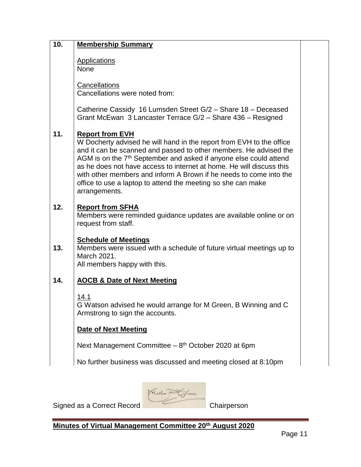| 10. | <b>Membership Summary</b>                                                                                                                                                                                                                                                                                                                                                                                                                                                           |  |
|-----|-------------------------------------------------------------------------------------------------------------------------------------------------------------------------------------------------------------------------------------------------------------------------------------------------------------------------------------------------------------------------------------------------------------------------------------------------------------------------------------|--|
|     | <b>Applications</b><br><b>None</b>                                                                                                                                                                                                                                                                                                                                                                                                                                                  |  |
|     | Cancellations<br>Cancellations were noted from:                                                                                                                                                                                                                                                                                                                                                                                                                                     |  |
|     | Catherine Cassidy 16 Lumsden Street G/2 - Share 18 - Deceased<br>Grant McEwan 3 Lancaster Terrace G/2 - Share 436 - Resigned                                                                                                                                                                                                                                                                                                                                                        |  |
| 11. | <b>Report from EVH</b><br>W Docherty advised he will hand in the report from EVH to the office<br>and it can be scanned and passed to other members. He advised the<br>AGM is on the 7 <sup>th</sup> September and asked if anyone else could attend<br>as he does not have access to internet at home. He will discuss this<br>with other members and inform A Brown if he needs to come into the<br>office to use a laptop to attend the meeting so she can make<br>arrangements. |  |
| 12. | <b>Report from SFHA</b><br>Members were reminded guidance updates are available online or on<br>request from staff.                                                                                                                                                                                                                                                                                                                                                                 |  |
| 13. | <b>Schedule of Meetings</b><br>Members were issued with a schedule of future virtual meetings up to<br>March 2021.<br>All members happy with this.                                                                                                                                                                                                                                                                                                                                  |  |
| 14. | <b>AOCB &amp; Date of Next Meeting</b>                                                                                                                                                                                                                                                                                                                                                                                                                                              |  |
|     | 14.1<br>G Watson advised he would arrange for M Green, B Winning and C<br>Armstrong to sign the accounts.                                                                                                                                                                                                                                                                                                                                                                           |  |
|     | <b>Date of Next Meeting</b>                                                                                                                                                                                                                                                                                                                                                                                                                                                         |  |
|     | Next Management Committee $-8th$ October 2020 at 6pm                                                                                                                                                                                                                                                                                                                                                                                                                                |  |
|     | No further business was discussed and meeting closed at 8:10pm                                                                                                                                                                                                                                                                                                                                                                                                                      |  |
|     |                                                                                                                                                                                                                                                                                                                                                                                                                                                                                     |  |

Medan Tours

Signed as a Correct Record Chairperson